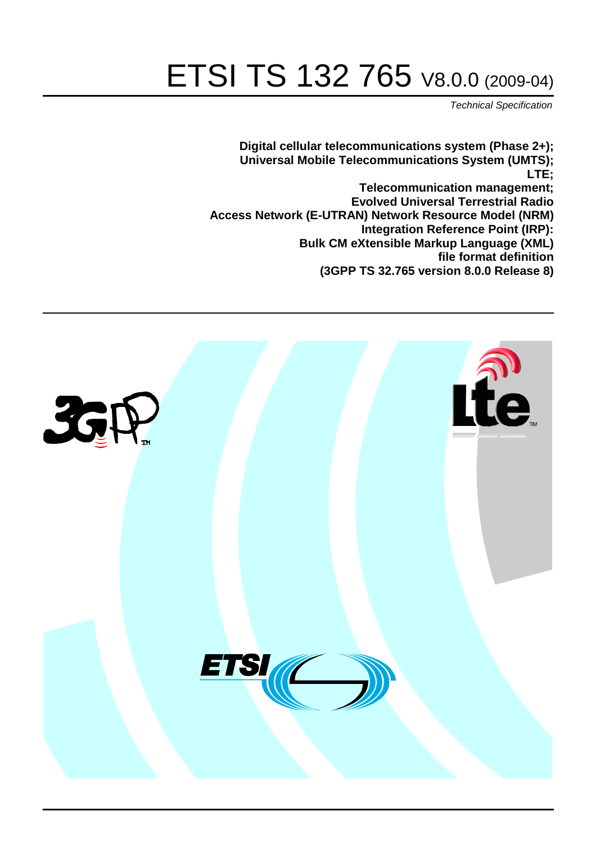# ETSI TS 132 765 V8.0.0 (2009-04)

*Technical Specification*

**Digital cellular telecommunications system (Phase 2+); Universal Mobile Telecommunications System (UMTS); LTE; Telecommunication management; Evolved Universal Terrestrial Radio Access Network (E-UTRAN) Network Resource Model (NRM) Integration Reference Point (IRP): Bulk CM eXtensible Markup Language (XML) file format definition (3GPP TS 32.765 version 8.0.0 Release 8)**

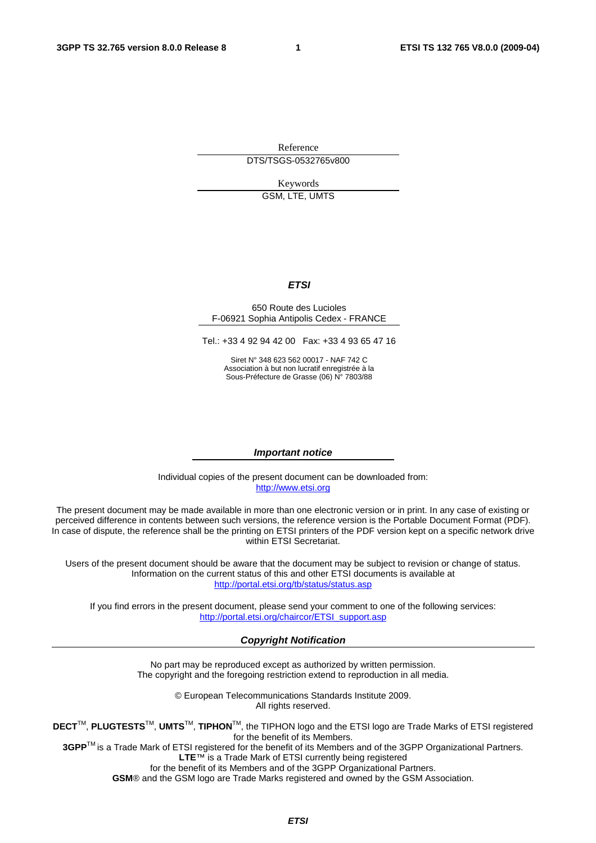Reference DTS/TSGS-0532765v800

Keywords

GSM, LTE, UMTS

#### *ETSI*

#### 650 Route des Lucioles F-06921 Sophia Antipolis Cedex - FRANCE

Tel.: +33 4 92 94 42 00 Fax: +33 4 93 65 47 16

Siret N° 348 623 562 00017 - NAF 742 C Association à but non lucratif enregistrée à la Sous-Préfecture de Grasse (06) N° 7803/88

#### *Important notice*

Individual copies of the present document can be downloaded from: [http://www.etsi.org](http://www.etsi.org/)

The present document may be made available in more than one electronic version or in print. In any case of existing or perceived difference in contents between such versions, the reference version is the Portable Document Format (PDF). In case of dispute, the reference shall be the printing on ETSI printers of the PDF version kept on a specific network drive within ETSI Secretariat.

Users of the present document should be aware that the document may be subject to revision or change of status. Information on the current status of this and other ETSI documents is available at <http://portal.etsi.org/tb/status/status.asp>

If you find errors in the present document, please send your comment to one of the following services: [http://portal.etsi.org/chaircor/ETSI\\_support.asp](http://portal.etsi.org/chaircor/ETSI_support.asp)

#### *Copyright Notification*

No part may be reproduced except as authorized by written permission. The copyright and the foregoing restriction extend to reproduction in all media.

> © European Telecommunications Standards Institute 2009. All rights reserved.

**DECT**TM, **PLUGTESTS**TM, **UMTS**TM, **TIPHON**TM, the TIPHON logo and the ETSI logo are Trade Marks of ETSI registered for the benefit of its Members.

**3GPP**TM is a Trade Mark of ETSI registered for the benefit of its Members and of the 3GPP Organizational Partners. **LTE**™ is a Trade Mark of ETSI currently being registered

for the benefit of its Members and of the 3GPP Organizational Partners.

**GSM**® and the GSM logo are Trade Marks registered and owned by the GSM Association.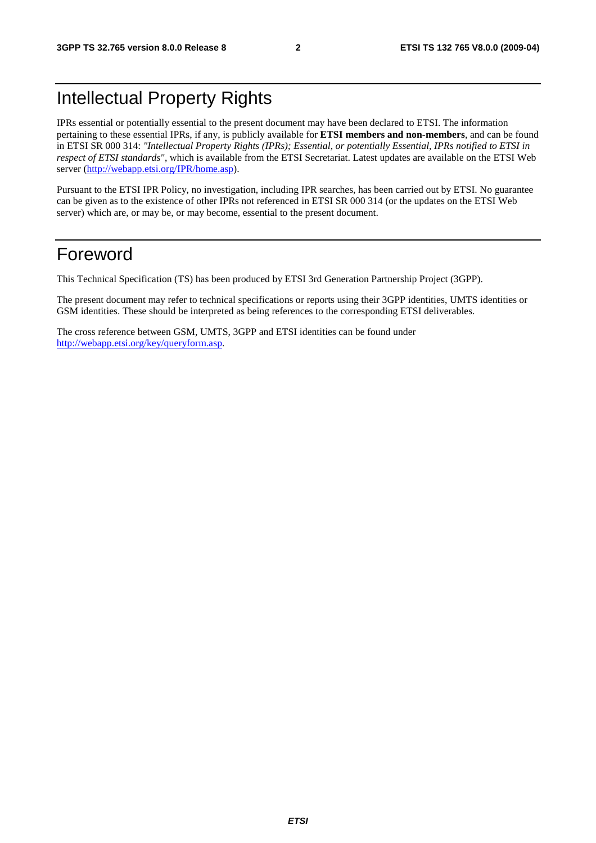### Intellectual Property Rights

IPRs essential or potentially essential to the present document may have been declared to ETSI. The information pertaining to these essential IPRs, if any, is publicly available for **ETSI members and non-members**, and can be found in ETSI SR 000 314: *"Intellectual Property Rights (IPRs); Essential, or potentially Essential, IPRs notified to ETSI in respect of ETSI standards"*, which is available from the ETSI Secretariat. Latest updates are available on the ETSI Web server (<http://webapp.etsi.org/IPR/home.asp>).

Pursuant to the ETSI IPR Policy, no investigation, including IPR searches, has been carried out by ETSI. No guarantee can be given as to the existence of other IPRs not referenced in ETSI SR 000 314 (or the updates on the ETSI Web server) which are, or may be, or may become, essential to the present document.

### Foreword

This Technical Specification (TS) has been produced by ETSI 3rd Generation Partnership Project (3GPP).

The present document may refer to technical specifications or reports using their 3GPP identities, UMTS identities or GSM identities. These should be interpreted as being references to the corresponding ETSI deliverables.

The cross reference between GSM, UMTS, 3GPP and ETSI identities can be found under <http://webapp.etsi.org/key/queryform.asp>.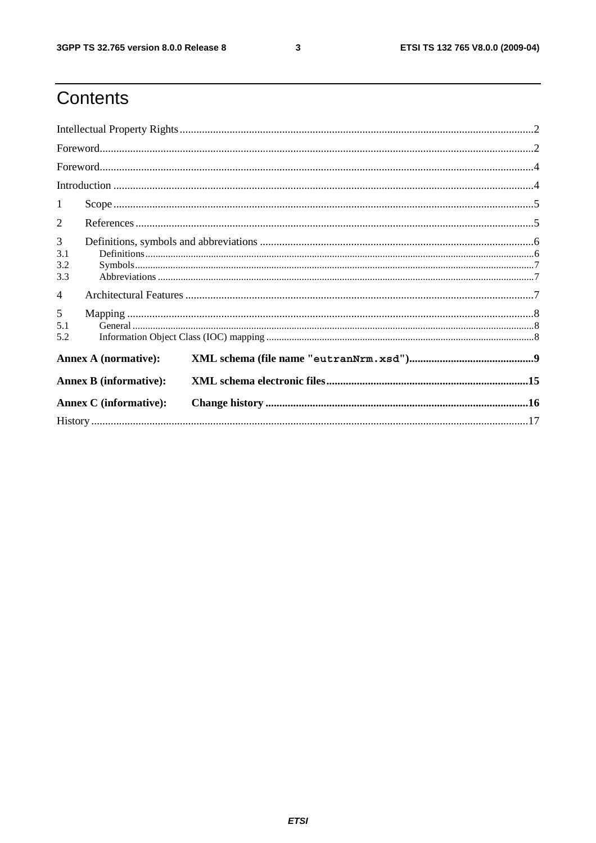$\mathbf{3}$ 

# Contents

|                        | $\textbf{For} \textbf{word} \text{}{\dots} \text{}{\dots} \text{}{\dots} \text{}{\dots} \text{}{\dots} \text{}{\dots} \text{}{\dots} \text{}{\dots} \text{}{\dots} \text{}{\dots} \text{}{\dots} \text{}{\dots} \text{}{\dots} \text{}{\dots} \text{}{\dots} \text{}{\dots} \text{}{\dots} \text{}{\dots} \text{}{\dots} \text{}{\dots} \text{}{\dots} \text{}{\dots} \text{}{\dots} \text{}{\dots} \text{}{\dots} \text{}{\dots}$ |  |  |  |  |  |
|------------------------|------------------------------------------------------------------------------------------------------------------------------------------------------------------------------------------------------------------------------------------------------------------------------------------------------------------------------------------------------------------------------------------------------------------------------------|--|--|--|--|--|
|                        |                                                                                                                                                                                                                                                                                                                                                                                                                                    |  |  |  |  |  |
|                        |                                                                                                                                                                                                                                                                                                                                                                                                                                    |  |  |  |  |  |
| 1                      |                                                                                                                                                                                                                                                                                                                                                                                                                                    |  |  |  |  |  |
| 2                      |                                                                                                                                                                                                                                                                                                                                                                                                                                    |  |  |  |  |  |
| 3<br>3.1<br>3.2<br>3.3 |                                                                                                                                                                                                                                                                                                                                                                                                                                    |  |  |  |  |  |
| $\overline{4}$         |                                                                                                                                                                                                                                                                                                                                                                                                                                    |  |  |  |  |  |
| 5<br>5.1<br>5.2        |                                                                                                                                                                                                                                                                                                                                                                                                                                    |  |  |  |  |  |
|                        | <b>Annex A (normative):</b>                                                                                                                                                                                                                                                                                                                                                                                                        |  |  |  |  |  |
|                        | <b>Annex B</b> (informative):                                                                                                                                                                                                                                                                                                                                                                                                      |  |  |  |  |  |
|                        | <b>Annex C</b> (informative):                                                                                                                                                                                                                                                                                                                                                                                                      |  |  |  |  |  |
|                        |                                                                                                                                                                                                                                                                                                                                                                                                                                    |  |  |  |  |  |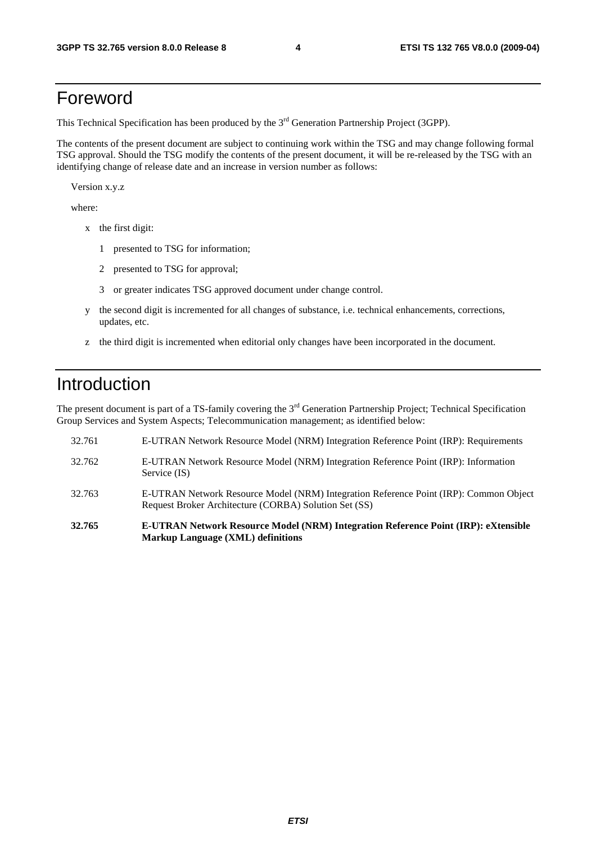### Foreword

This Technical Specification has been produced by the 3<sup>rd</sup> Generation Partnership Project (3GPP).

The contents of the present document are subject to continuing work within the TSG and may change following formal TSG approval. Should the TSG modify the contents of the present document, it will be re-released by the TSG with an identifying change of release date and an increase in version number as follows:

Version x.y.z

where:

- x the first digit:
	- 1 presented to TSG for information;
	- 2 presented to TSG for approval;
	- 3 or greater indicates TSG approved document under change control.
- y the second digit is incremented for all changes of substance, i.e. technical enhancements, corrections, updates, etc.
- z the third digit is incremented when editorial only changes have been incorporated in the document.

### Introduction

The present document is part of a TS-family covering the 3<sup>rd</sup> Generation Partnership Project; Technical Specification Group Services and System Aspects; Telecommunication management; as identified below:

- 32.761 E-UTRAN Network Resource Model (NRM) Integration Reference Point (IRP): Requirements 32.762 E-UTRAN Network Resource Model (NRM) Integration Reference Point (IRP): Information Service (IS) 32.763 E-UTRAN Network Resource Model (NRM) Integration Reference Point (IRP): Common Object Request Broker Architecture (CORBA) Solution Set (SS)
- **32.765 E-UTRAN Network Resource Model (NRM) Integration Reference Point (IRP): eXtensible Markup Language (XML) definitions**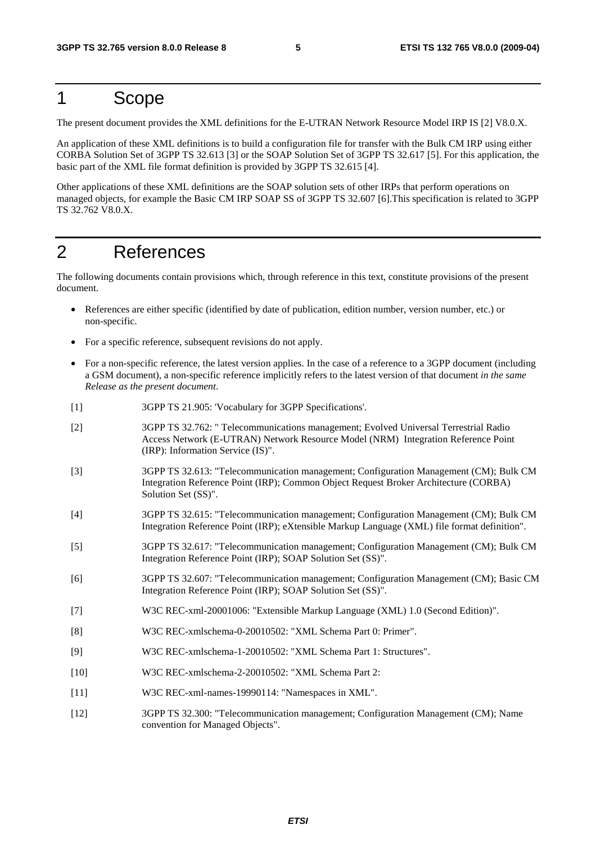### 1 Scope

The present document provides the XML definitions for the E-UTRAN Network Resource Model IRP IS [2] V8.0.X.

An application of these XML definitions is to build a configuration file for transfer with the Bulk CM IRP using either CORBA Solution Set of 3GPP TS 32.613 [3] or the SOAP Solution Set of 3GPP TS 32.617 [5]. For this application, the basic part of the XML file format definition is provided by 3GPP TS 32.615 [4].

Other applications of these XML definitions are the SOAP solution sets of other IRPs that perform operations on managed objects, for example the Basic CM IRP SOAP SS of 3GPP TS 32.607 [6].This specification is related to 3GPP TS 32.762 V8.0.X.

### 2 References

The following documents contain provisions which, through reference in this text, constitute provisions of the present document.

- References are either specific (identified by date of publication, edition number, version number, etc.) or non-specific.
- For a specific reference, subsequent revisions do not apply.
- For a non-specific reference, the latest version applies. In the case of a reference to a 3GPP document (including a GSM document), a non-specific reference implicitly refers to the latest version of that document *in the same Release as the present document*.
- [1] 3GPP TS 21.905: 'Vocabulary for 3GPP Specifications'.
- [2] 3GPP TS 32.762: " Telecommunications management; Evolved Universal Terrestrial Radio Access Network (E-UTRAN) Network Resource Model (NRM) Integration Reference Point (IRP): Information Service (IS)".
- [3] 3GPP TS 32.613: "Telecommunication management; Configuration Management (CM); Bulk CM Integration Reference Point (IRP); Common Object Request Broker Architecture (CORBA) Solution Set (SS)".
- [4] 3GPP TS 32.615: "Telecommunication management; Configuration Management (CM); Bulk CM Integration Reference Point (IRP); eXtensible Markup Language (XML) file format definition".
- [5] 3GPP TS 32.617: "Telecommunication management; Configuration Management (CM); Bulk CM Integration Reference Point (IRP); SOAP Solution Set (SS)".
- [6] 3GPP TS 32.607: "Telecommunication management; Configuration Management (CM); Basic CM Integration Reference Point (IRP); SOAP Solution Set (SS)".
- [7] W3C REC-xml-20001006: "Extensible Markup Language (XML) 1.0 (Second Edition)".
- [8] W3C REC-xmlschema-0-20010502: "XML Schema Part 0: Primer".
- [9] W3C REC-xmlschema-1-20010502: "XML Schema Part 1: Structures".
- [10] W3C REC-xmlschema-2-20010502: "XML Schema Part 2:
- [11] W3C REC-xml-names-19990114: "Namespaces in XML".
- [12] 3GPP TS 32.300: "Telecommunication management; Configuration Management (CM); Name convention for Managed Objects".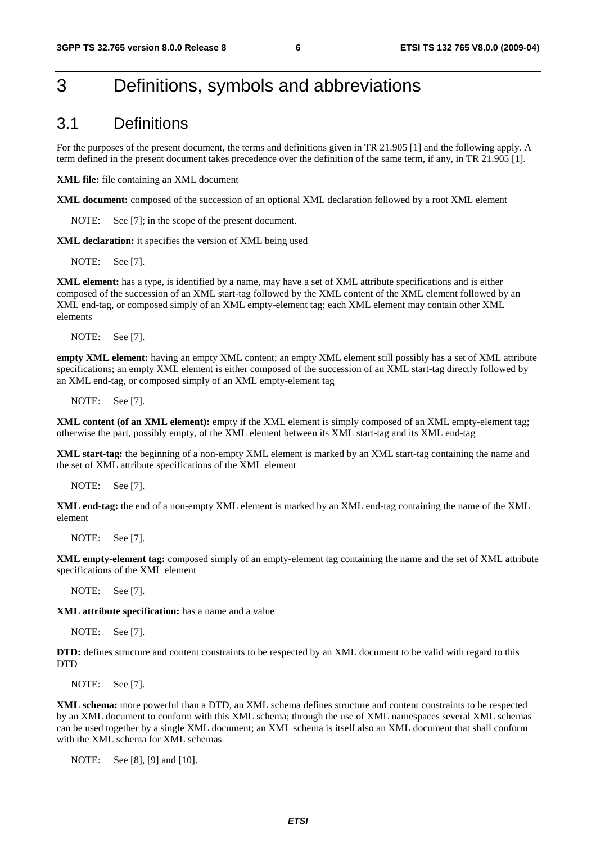### 3 Definitions, symbols and abbreviations

#### 3.1 Definitions

For the purposes of the present document, the terms and definitions given in TR 21.905 [1] and the following apply. A term defined in the present document takes precedence over the definition of the same term, if any, in TR 21.905 [1].

**XML file:** file containing an XML document

**XML document:** composed of the succession of an optional XML declaration followed by a root XML element

NOTE: See [7]; in the scope of the present document.

**XML declaration:** it specifies the version of XML being used

NOTE: See [7].

**XML element:** has a type, is identified by a name, may have a set of XML attribute specifications and is either composed of the succession of an XML start-tag followed by the XML content of the XML element followed by an XML end-tag, or composed simply of an XML empty-element tag; each XML element may contain other XML elements

NOTE: See [7].

**empty XML element:** having an empty XML content; an empty XML element still possibly has a set of XML attribute specifications; an empty XML element is either composed of the succession of an XML start-tag directly followed by an XML end-tag, or composed simply of an XML empty-element tag

NOTE: See [7].

**XML content (of an XML element):** empty if the XML element is simply composed of an XML empty-element tag; otherwise the part, possibly empty, of the XML element between its XML start-tag and its XML end-tag

**XML start-tag:** the beginning of a non-empty XML element is marked by an XML start-tag containing the name and the set of XML attribute specifications of the XML element

NOTE: See [7].

**XML end-tag:** the end of a non-empty XML element is marked by an XML end-tag containing the name of the XML element

NOTE: See [7].

**XML empty-element tag:** composed simply of an empty-element tag containing the name and the set of XML attribute specifications of the XML element

NOTE: See [7].

**XML attribute specification:** has a name and a value

NOTE: See [7].

**DTD:** defines structure and content constraints to be respected by an XML document to be valid with regard to this **DTD** 

NOTE: See [7].

**XML schema:** more powerful than a DTD, an XML schema defines structure and content constraints to be respected by an XML document to conform with this XML schema; through the use of XML namespaces several XML schemas can be used together by a single XML document; an XML schema is itself also an XML document that shall conform with the XML schema for XML schemas

NOTE: See [8], [9] and [10].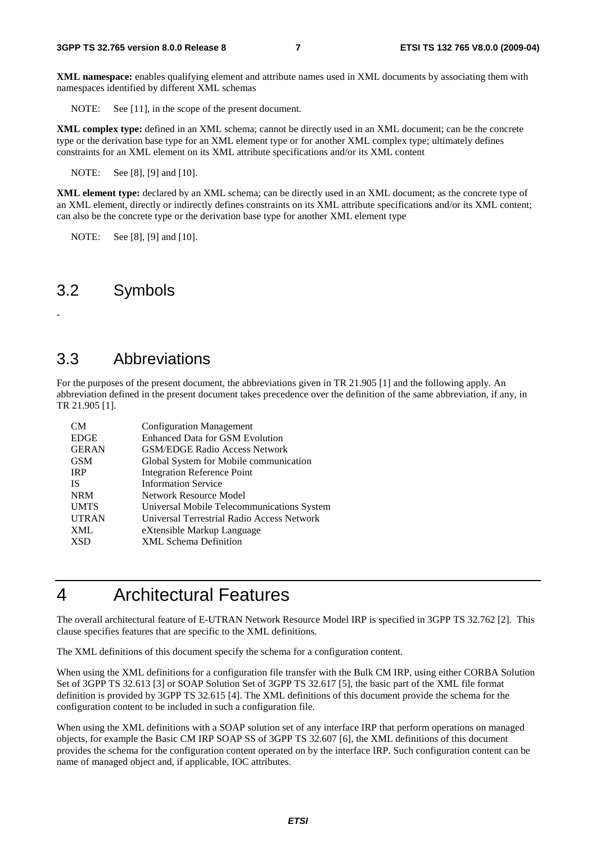**XML namespace:** enables qualifying element and attribute names used in XML documents by associating them with namespaces identified by different XML schemas

NOTE: See [11], in the scope of the present document.

**XML complex type:** defined in an XML schema; cannot be directly used in an XML document; can be the concrete type or the derivation base type for an XML element type or for another XML complex type; ultimately defines constraints for an XML element on its XML attribute specifications and/or its XML content

NOTE: See [8], [9] and [10].

**XML element type:** declared by an XML schema; can be directly used in an XML document; as the concrete type of an XML element, directly or indirectly defines constraints on its XML attribute specifications and/or its XML content; can also be the concrete type or the derivation base type for another XML element type

NOTE: See [8], [9] and [10].

#### 3.2 Symbols

-

#### 3.3 Abbreviations

For the purposes of the present document, the abbreviations given in TR 21.905 [1] and the following apply. An abbreviation defined in the present document takes precedence over the definition of the same abbreviation, if any, in TR 21.905 [1].

| CM           | <b>Configuration Management</b>            |
|--------------|--------------------------------------------|
| <b>EDGE</b>  | <b>Enhanced Data for GSM Evolution</b>     |
| <b>GERAN</b> | <b>GSM/EDGE Radio Access Network</b>       |
| <b>GSM</b>   | Global System for Mobile communication     |
| <b>IRP</b>   | <b>Integration Reference Point</b>         |
| <b>IS</b>    | <b>Information Service</b>                 |
| <b>NRM</b>   | Network Resource Model                     |
| <b>UMTS</b>  | Universal Mobile Telecommunications System |
| <b>UTRAN</b> | Universal Terrestrial Radio Access Network |
| <b>XML</b>   | eXtensible Markup Language                 |
| <b>XSD</b>   | <b>XML Schema Definition</b>               |

### 4 Architectural Features

The overall architectural feature of E-UTRAN Network Resource Model IRP is specified in 3GPP TS 32.762 [2]. This clause specifies features that are specific to the XML definitions.

The XML definitions of this document specify the schema for a configuration content.

When using the XML definitions for a configuration file transfer with the Bulk CM IRP, using either CORBA Solution Set of 3GPP TS 32.613 [3] or SOAP Solution Set of 3GPP TS 32.617 [5], the basic part of the XML file format definition is provided by 3GPP TS 32.615 [4]. The XML definitions of this document provide the schema for the configuration content to be included in such a configuration file.

When using the XML definitions with a SOAP solution set of any interface IRP that perform operations on managed objects, for example the Basic CM IRP SOAP SS of 3GPP TS 32.607 [6], the XML definitions of this document provides the schema for the configuration content operated on by the interface IRP. Such configuration content can be name of managed object and, if applicable, IOC attributes.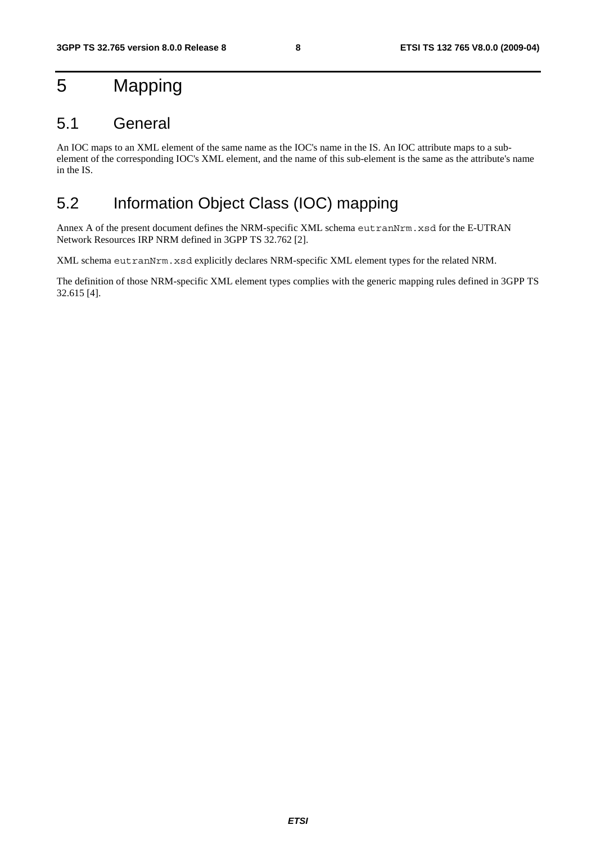## 5 Mapping

#### 5.1 General

An IOC maps to an XML element of the same name as the IOC's name in the IS. An IOC attribute maps to a subelement of the corresponding IOC's XML element, and the name of this sub-element is the same as the attribute's name in the IS.

### 5.2 Information Object Class (IOC) mapping

Annex A of the present document defines the NRM-specific XML schema eutranNrm.xsd for the E-UTRAN Network Resources IRP NRM defined in 3GPP TS 32.762 [2].

XML schema eutranNrm.xsd explicitly declares NRM-specific XML element types for the related NRM.

The definition of those NRM-specific XML element types complies with the generic mapping rules defined in 3GPP TS 32.615 [4].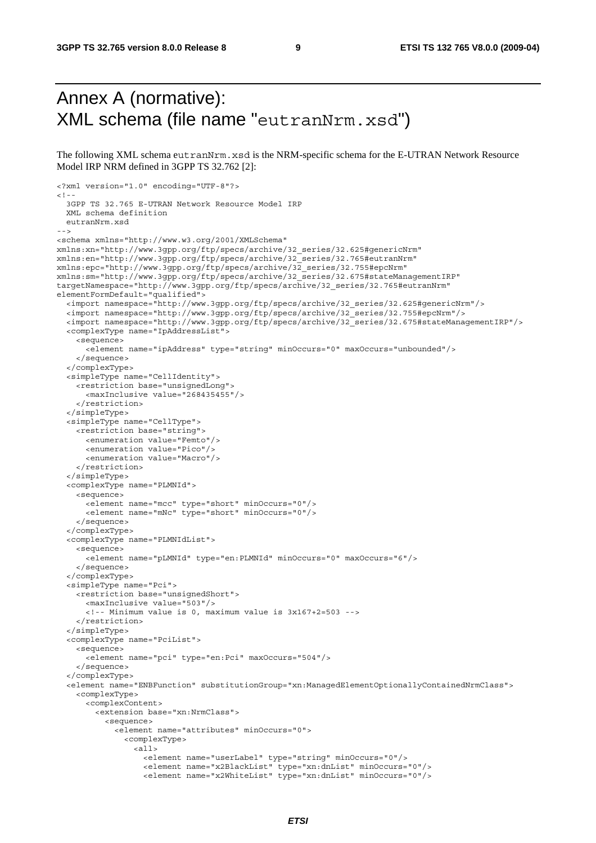### Annex A (normative): XML schema (file name "eutranNrm.xsd")

The following XML schema eutranNrm.xsd is the NRM-specific schema for the E-UTRAN Network Resource Model IRP NRM defined in 3GPP TS 32.762 [2]:

```
<?xml version="1.0" encoding="UTF-8"?> 
< 1 - - 3GPP TS 32.765 E-UTRAN Network Resource Model IRP 
   XML schema definition 
   eutranNrm.xsd 
--> 
<schema xmlns="http://www.w3.org/2001/XMLSchema" 
xmlns:xn="http://www.3gpp.org/ftp/specs/archive/32_series/32.625#genericNrm" 
xmlns:en="http://www.3gpp.org/ftp/specs/archive/32_series/32.765#eutranNrm" 
xmlns:epc="http://www.3gpp.org/ftp/specs/archive/32_series/32.755#epcNrm" 
xmlns:sm="http://www.3gpp.org/ftp/specs/archive/32_series/32.675#stateManagementIRP" 
targetNamespace="http://www.3gpp.org/ftp/specs/archive/32_series/32.765#eutranNrm" 
elementFormDefault="qualified"> 
   <import namespace="http://www.3gpp.org/ftp/specs/archive/32_series/32.625#genericNrm"/> 
   <import namespace="http://www.3gpp.org/ftp/specs/archive/32_series/32.755#epcNrm"/> 
   <import namespace="http://www.3gpp.org/ftp/specs/archive/32_series/32.675#stateManagementIRP"/> 
   <complexType name="IpAddressList"> 
     <sequence> 
       <element name="ipAddress" type="string" minOccurs="0" maxOccurs="unbounded"/> 
     </sequence> 
   </complexType> 
   <simpleType name="CellIdentity"> 
     <restriction base="unsignedLong"> 
       <maxInclusive value="268435455"/> 
     </restriction> 
   </simpleType> 
   <simpleType name="CellType"> 
     <restriction base="string"> 
       <enumeration value="Femto"/> 
       <enumeration value="Pico"/> 
       <enumeration value="Macro"/> 
     </restriction> 
   </simpleType> 
   <complexType name="PLMNId"> 
     <sequence> 
       <element name="mcc" type="short" minOccurs="0"/> 
       <element name="mNc" type="short" minOccurs="0"/> 
     </sequence> 
   </complexType> 
   <complexType name="PLMNIdList"> 
     <sequence> 
       <element name="pLMNId" type="en:PLMNId" minOccurs="0" maxOccurs="6"/> 
     </sequence> 
   </complexType> 
   <simpleType name="Pci"> 
     <restriction base="unsignedShort"> 
       <maxInclusive value="503"/> 
       <!-- Minimum value is 0, maximum value is 3x167+2=503 --> 
     </restriction> 
   </simpleType> 
   <complexType name="PciList"> 
     <sequence> 
       <element name="pci" type="en:Pci" maxOccurs="504"/> 
     </sequence> 
   </complexType> 
   <element name="ENBFunction" substitutionGroup="xn:ManagedElementOptionallyContainedNrmClass"> 
     <complexType> 
       <complexContent> 
         <extension base="xn:NrmClass"> 
           <sequence> 
              <element name="attributes" minOccurs="0"> 
                <complexType> 
                 \leq all\geq <element name="userLabel" type="string" minOccurs="0"/> 
                    <element name="x2BlackList" type="xn:dnList" minOccurs="0"/> 
                    <element name="x2WhiteList" type="xn:dnList" minOccurs="0"/>
```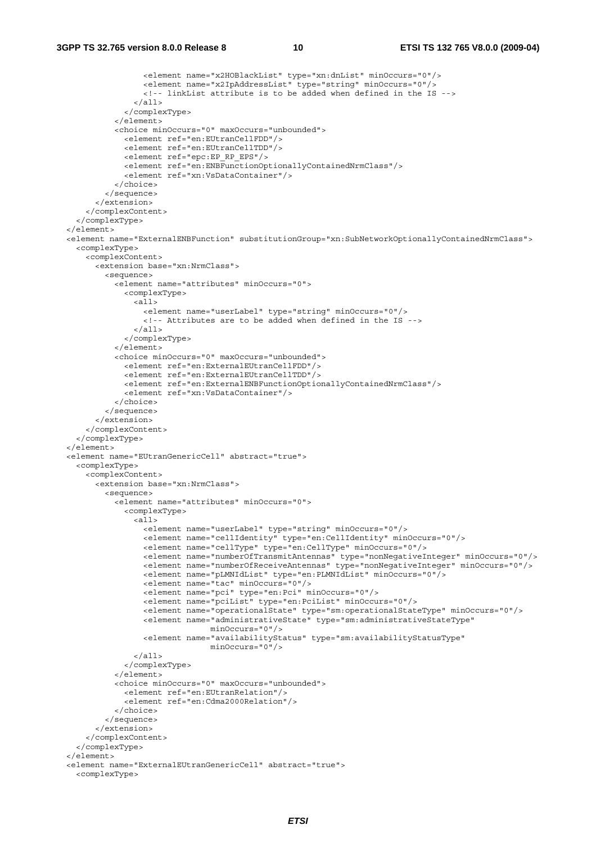```
 <element name="x2HOBlackList" type="xn:dnList" minOccurs="0"/> 
                    <element name="x2IpAddressList" type="string" minOccurs="0"/> 
                    <!-- linkList attribute is to be added when defined in the IS --> 
                 \langleall\rangle </complexType> 
             </element> 
             <choice minOccurs="0" maxOccurs="unbounded"> 
               <element ref="en:EUtranCellFDD"/> 
               <element ref="en:EUtranCellTDD"/> 
               <element ref="epc:EP_RP_EPS"/> 
               <element ref="en:ENBFunctionOptionallyContainedNrmClass"/> 
               <element ref="xn:VsDataContainer"/> 
             </choice> 
           </sequence> 
         </extension> 
       </complexContent> 
     </complexType> 
  \epsilon/element>
   <element name="ExternalENBFunction" substitutionGroup="xn:SubNetworkOptionallyContainedNrmClass"> 
    <complexType> 
       <complexContent> 
         <extension base="xn:NrmClass"> 
           <sequence> 
             <element name="attributes" minOccurs="0"> 
               <complexType> 
                 <all> 
                   <element name="userLabel" type="string" minOccurs="0"/> 
                    <!-- Attributes are to be added when defined in the IS --> 
                 </all> 
               </complexType> 
             </element> 
             <choice minOccurs="0" maxOccurs="unbounded"> 
               <element ref="en:ExternalEUtranCellFDD"/> 
               <element ref="en:ExternalEUtranCellTDD"/> 
               <element ref="en:ExternalENBFunctionOptionallyContainedNrmClass"/> 
                <element ref="xn:VsDataContainer"/> 
             </choice> 
           </sequence> 
         </extension> 
       </complexContent> 
     </complexType> 
  </element> 
  <element name="EUtranGenericCell" abstract="true"> 
    <complexType> 
       <complexContent> 
         <extension base="xn:NrmClass"> 
           <sequence> 
             <element name="attributes" minOccurs="0"> 
               <complexType> 
                \overline{\text{all}} <element name="userLabel" type="string" minOccurs="0"/> 
                    <element name="cellIdentity" type="en:CellIdentity" minOccurs="0"/> 
                    <element name="cellType" type="en:CellType" minOccurs="0"/> 
                    <element name="numberOfTransmitAntennas" type="nonNegativeInteger" minOccurs="0"/> 
                    <element name="numberOfReceiveAntennas" type="nonNegativeInteger" minOccurs="0"/> 
                    <element name="pLMNIdList" type="en:PLMNIdList" minOccurs="0"/> 
                    <element name="tac" minOccurs="0"/> 
                    <element name="pci" type="en:Pci" minOccurs="0"/> 
 <element name="pciList" type="en:PciList" minOccurs="0"/> 
 <element name="operationalState" type="sm:operationalStateType" minOccurs="0"/> 
                    <element name="administrativeState" type="sm:administrativeStateType" 
                                  minOccurs="0"/> 
                    <element name="availabilityStatus" type="sm:availabilityStatusType" 
                                  minOccurs="0"/> 
                \frac{1}{2} </complexType> 
             </element> 
             <choice minOccurs="0" maxOccurs="unbounded"> 
               <element ref="en:EUtranRelation"/> 
                <element ref="en:Cdma2000Relation"/> 
             </choice> 
           </sequence> 
         </extension> 
       </complexContent> 
     </complexType> 
   </element> 
  <element name="ExternalEUtranGenericCell" abstract="true"> 
    <complexType>
```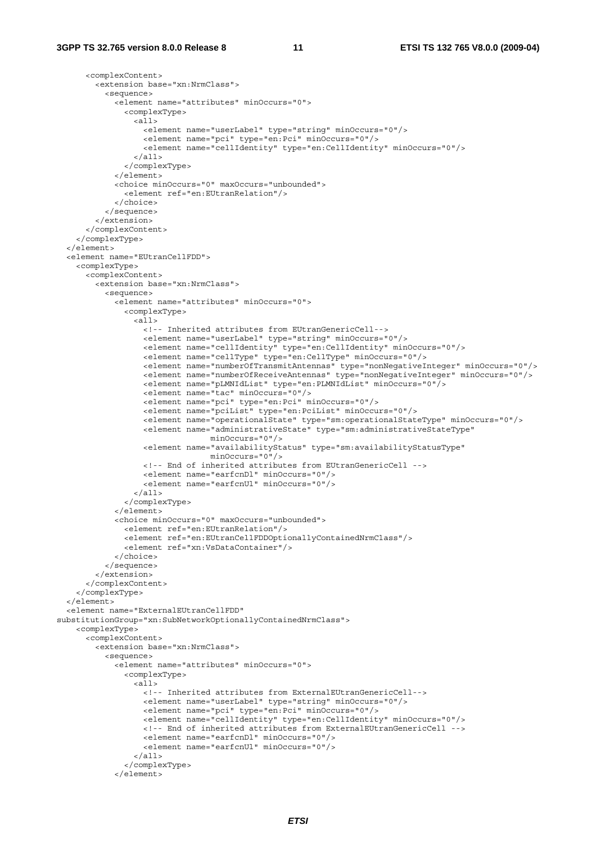```
 <complexContent> 
         <extension base="xn:NrmClass"> 
           <sequence> 
              <element name="attributes" minOccurs="0"> 
                <complexType> 
                  <all> 
                    <element name="userLabel" type="string" minOccurs="0"/> 
                    <element name="pci" type="en:Pci" minOccurs="0"/> 
                    <element name="cellIdentity" type="en:CellIdentity" minOccurs="0"/> 
                  </all> 
                </complexType> 
              </element> 
              <choice minOccurs="0" maxOccurs="unbounded"> 
                <element ref="en:EUtranRelation"/> 
              </choice> 
           </sequence> 
         </extension> 
       </complexContent> 
     </complexType> 
   </element> 
   <element name="EUtranCellFDD"> 
     <complexType> 
       <complexContent> 
         <extension base="xn:NrmClass"> 
           <sequence> 
             <element name="attributes" minOccurs="0"> 
                <complexType> 
                  <all> 
                    <!-- Inherited attributes from EUtranGenericCell--> 
                    <element name="userLabel" type="string" minOccurs="0"/> 
                    <element name="cellIdentity" type="en:CellIdentity" minOccurs="0"/> 
                    <element name="cellType" type="en:CellType" minOccurs="0"/> 
                    <element name="numberOfTransmitAntennas" type="nonNegativeInteger" minOccurs="0"/> 
                    <element name="numberOfReceiveAntennas" type="nonNegativeInteger" minOccurs="0"/> 
                    <element name="pLMNIdList" type="en:PLMNIdList" minOccurs="0"/> 
                    <element name="tac" minOccurs="0"/> 
                    <element name="pci" type="en:Pci" minOccurs="0"/> 
                    <element name="pciList" type="en:PciList" minOccurs="0"/> 
                    <element name="operationalState" type="sm:operationalStateType" minOccurs="0"/> 
                    <element name="administrativeState" type="sm:administrativeStateType" 
                                   minOccurs="0"/> 
                    <element name="availabilityStatus" type="sm:availabilityStatusType" 
                                   minOccurs="0"/> 
                    <!-- End of inherited attributes from EUtranGenericCell --> 
                    <element name="earfcnDl" minOccurs="0"/> 
                    <element name="earfcnUl" minOccurs="0"/> 
                 \epsilon/all\epsilon </complexType> 
              </element> 
              <choice minOccurs="0" maxOccurs="unbounded"> 
                <element ref="en:EUtranRelation"/> 
                <element ref="en:EUtranCellFDDOptionallyContainedNrmClass"/> 
                <element ref="xn:VsDataContainer"/> 
              </choice> 
           </sequence> 
         </extension> 
       </complexContent> 
     </complexType> 
   </element> 
   <element name="ExternalEUtranCellFDD" 
substitutionGroup="xn:SubNetworkOptionallyContainedNrmClass"> 
     <complexType> 
       <complexContent> 
         <extension base="xn:NrmClass"> 
           <sequence> 
             <element name="attributes" minOccurs="0"> 
                <complexType> 
                 \alpha<sup>11></sup>
                    <!-- Inherited attributes from ExternalEUtranGenericCell--> 
                    <element name="userLabel" type="string" minOccurs="0"/> 
                    <element name="pci" type="en:Pci" minOccurs="0"/> 
                    <element name="cellIdentity" type="en:CellIdentity" minOccurs="0"/> 
                    <!-- End of inherited attributes from ExternalEUtranGenericCell --> 
                    <element name="earfcnDl" minOccurs="0"/> 
                    <element name="earfcnUl" minOccurs="0"/> 
                  </all> 
                </complexType> 
              </element>
```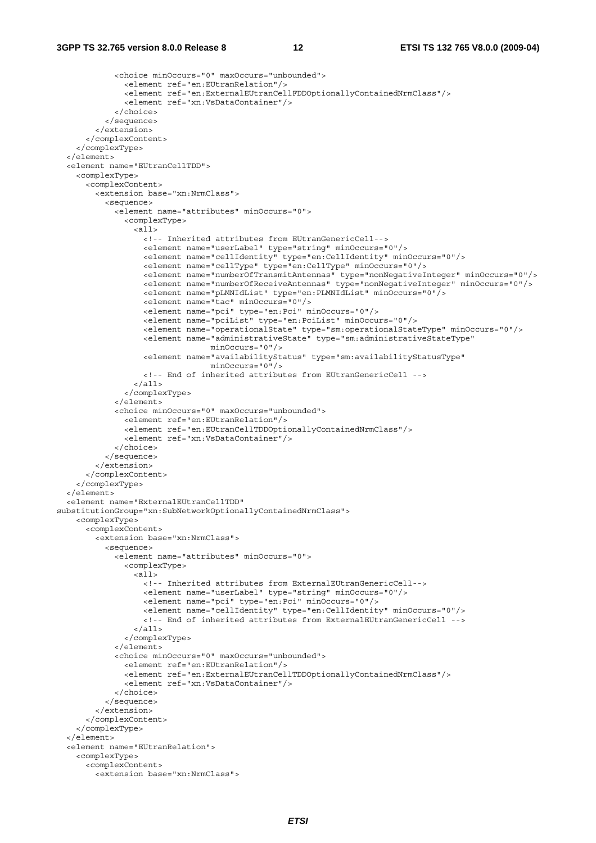```
 <choice minOccurs="0" maxOccurs="unbounded"> 
                <element ref="en:EUtranRelation"/> 
                <element ref="en:ExternalEUtranCellFDDOptionallyContainedNrmClass"/> 
                <element ref="xn:VsDataContainer"/> 
              </choice> 
           </sequence> 
         </extension> 
       </complexContent> 
     </complexType> 
   </element> 
   <element name="EUtranCellTDD"> 
     <complexType> 
       <complexContent> 
         <extension base="xn:NrmClass"> 
           <sequence> 
             <element name="attributes" minOccurs="0"> 
                <complexType> 
                  <all> 
                    <!-- Inherited attributes from EUtranGenericCell--> 
                    <element name="userLabel" type="string" minOccurs="0"/> 
                    <element name="cellIdentity" type="en:CellIdentity" minOccurs="0"/> 
                    <element name="cellType" type="en:CellType" minOccurs="0"/> 
                    <element name="numberOfTransmitAntennas" type="nonNegativeInteger" minOccurs="0"/> 
                    <element name="numberOfReceiveAntennas" type="nonNegativeInteger" minOccurs="0"/> 
                    <element name="pLMNIdList" type="en:PLMNIdList" minOccurs="0"/> 
                    <element name="tac" minOccurs="0"/> 
                    <element name="pci" type="en:Pci" minOccurs="0"/> 
                    <element name="pciList" type="en:PciList" minOccurs="0"/> 
                    <element name="operationalState" type="sm:operationalStateType" minOccurs="0"/> 
                    <element name="administrativeState" type="sm:administrativeStateType" 
                                  minOccurs="0"/> 
                    <element name="availabilityStatus" type="sm:availabilityStatusType" 
                                   minOccurs="0"/> 
                    <!-- End of inherited attributes from EUtranGenericCell --> 
                 \langleall> </complexType> 
              </element> 
             <choice minOccurs="0" maxOccurs="unbounded"> 
                <element ref="en:EUtranRelation"/> 
                <element ref="en:EUtranCellTDDOptionallyContainedNrmClass"/> 
                <element ref="xn:VsDataContainer"/> 
             \zeta /choices
           </sequence> 
         </extension> 
       </complexContent> 
     </complexType> 
   </element> 
   <element name="ExternalEUtranCellTDD" 
substitutionGroup="xn:SubNetworkOptionallyContainedNrmClass"> 
     <complexType> 
       <complexContent> 
         <extension base="xn:NrmClass"> 
           <sequence> 
              <element name="attributes" minOccurs="0"> 
                <complexType> 
                  <all> 
                    <!-- Inherited attributes from ExternalEUtranGenericCell--> 
                    <element name="userLabel" type="string" minOccurs="0"/> 
                    <element name="pci" type="en:Pci" minOccurs="0"/> 
                    <element name="cellIdentity" type="en:CellIdentity" minOccurs="0"/> 
                    <!-- End of inherited attributes from ExternalEUtranGenericCell --> 
                 \langleall> </complexType> 
              </element> 
              <choice minOccurs="0" maxOccurs="unbounded"> 
                <element ref="en:EUtranRelation"/> 
                <element ref="en:ExternalEUtranCellTDDOptionallyContainedNrmClass"/> 
                <element ref="xn:VsDataContainer"/> 
             </choice> 
           </sequence> 
         </extension> 
       </complexContent> 
     </complexType> 
   </element> 
   <element name="EUtranRelation"> 
     <complexType> 
       <complexContent> 
         <extension base="xn:NrmClass">
```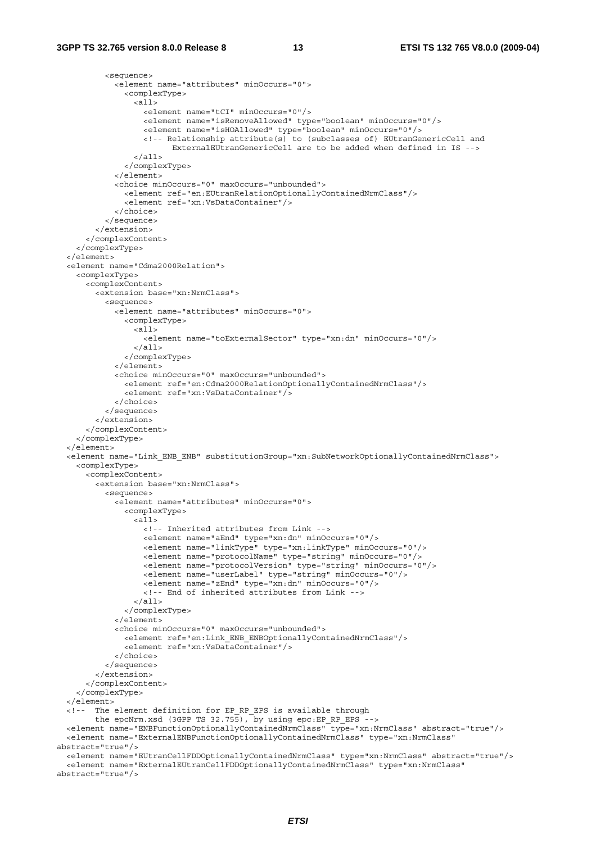```
 <sequence> 
             <element name="attributes" minOccurs="0"> 
                <complexType> 
                  <all> 
                    <element name="tCI" minOccurs="0"/> 
                    <element name="isRemoveAllowed" type="boolean" minOccurs="0"/> 
                    <element name="isHOAllowed" type="boolean" minOccurs="0"/> 
                    <!-- Relationship attribute(s) to (subclasses of) EUtranGenericCell and 
                          ExternalEUtranGenericCell are to be added when defined in IS --> 
                 \langleall> </complexType> 
              </element> 
              <choice minOccurs="0" maxOccurs="unbounded"> 
                <element ref="en:EUtranRelationOptionallyContainedNrmClass"/> 
                <element ref="xn:VsDataContainer"/> 
             </choice> 
           </sequence> 
         </extension> 
       </complexContent> 
     </complexType> 
   </element> 
   <element name="Cdma2000Relation"> 
     <complexType> 
       <complexContent> 
         <extension base="xn:NrmClass"> 
           <sequence> 
             <element name="attributes" minOccurs="0"> 
               <complexType> 
                 \alpha<sup>11></sup>
                    <element name="toExternalSector" type="xn:dn" minOccurs="0"/> 
                 \langleall\sim </complexType> 
              </element> 
             <choice minOccurs="0" maxOccurs="unbounded"> 
                <element ref="en:Cdma2000RelationOptionallyContainedNrmClass"/> 
                <element ref="xn:VsDataContainer"/> 
              </choice> 
           </sequence> 
         </extension> 
       </complexContent> 
     </complexType> 
   </element> 
   <element name="Link_ENB_ENB" substitutionGroup="xn:SubNetworkOptionallyContainedNrmClass"> 
     <complexType> 
       <complexContent> 
         <extension base="xn:NrmClass"> 
           <sequence> 
             <element name="attributes" minOccurs="0"> 
                <complexType> 
                  <all> 
                    <!-- Inherited attributes from Link --> 
                    <element name="aEnd" type="xn:dn" minOccurs="0"/> 
                    <element name="linkType" type="xn:linkType" minOccurs="0"/> 
                    <element name="protocolName" type="string" minOccurs="0"/> 
                    <element name="protocolVersion" type="string" minOccurs="0"/> 
                    <element name="userLabel" type="string" minOccurs="0"/> 
                    <element name="zEnd" type="xn:dn" minOccurs="0"/> 
                    <!-- End of inherited attributes from Link --> 
                  </all> 
                </complexType> 
              </element> 
              <choice minOccurs="0" maxOccurs="unbounded"> 
               <element ref="en:Link_ENB_ENBOptionallyContainedNrmClass"/> 
                <element ref="xn:VsDataContainer"/> 
             </choice> 
           </sequence> 
          </extension> 
       </complexContent> 
     </complexType> 
   </element> 
   <!-- The element definition for EP_RP_EPS is available through 
        the epcNrm.xsd (3GPP TS 32.755), by using epc:EP RP EPS -->
   <element name="ENBFunctionOptionallyContainedNrmClass" type="xn:NrmClass" abstract="true"/> 
   <element name="ExternalENBFunctionOptionallyContainedNrmClass" type="xn:NrmClass" 
abstract="true"/> 
   <element name="EUtranCellFDDOptionallyContainedNrmClass" type="xn:NrmClass" abstract="true"/> 
   <element name="ExternalEUtranCellFDDOptionallyContainedNrmClass" type="xn:NrmClass"
```

```
abstract="true"/>
```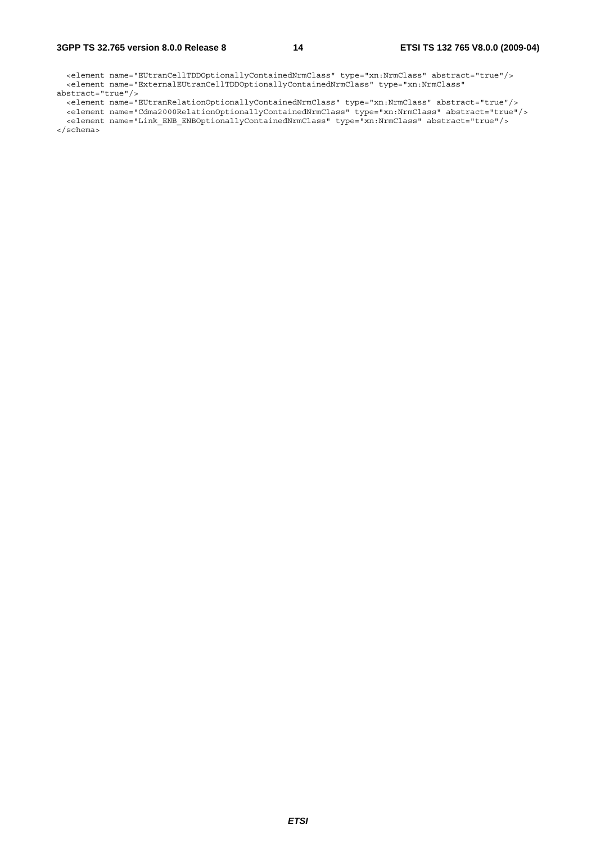#### **3GPP TS 32.765 version 8.0.0 Release 8 14 ETSI TS 132 765 V8.0.0 (2009-04)**

 <element name="EUtranCellTDDOptionallyContainedNrmClass" type="xn:NrmClass" abstract="true"/> <element name="ExternalEUtranCellTDDOptionallyContainedNrmClass" type="xn:NrmClass"

abstract="true"/> <element name="EUtranRelationOptionallyContainedNrmClass" type="xn:NrmClass" abstract="true"/>

 <element name="Cdma2000RelationOptionallyContainedNrmClass" type="xn:NrmClass" abstract="true"/> <element name="Link\_ENB\_ENBOptionallyContainedNrmClass" type="xn:NrmClass" abstract="true"/>

</schema>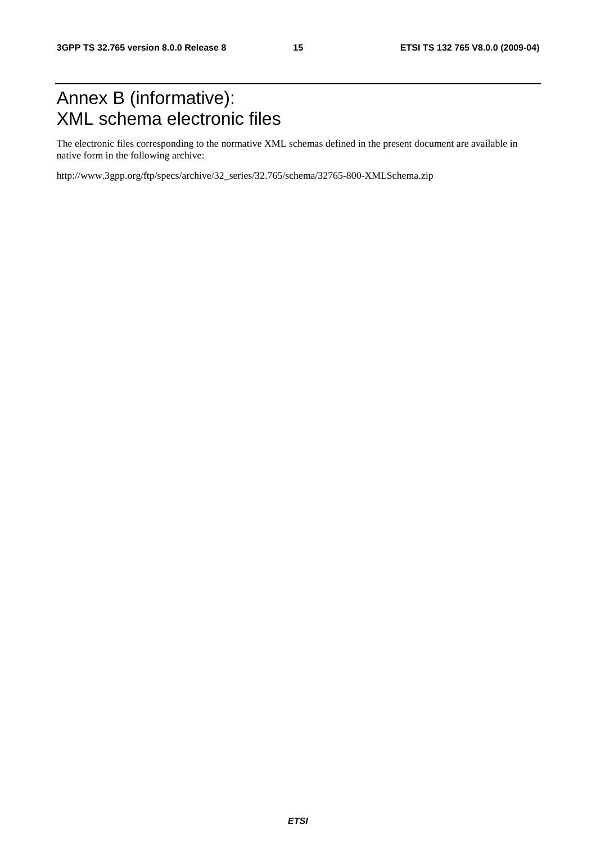# Annex B (informative): XML schema electronic files

The electronic files corresponding to the normative XML schemas defined in the present document are available in native form in the following archive:

http://www.3gpp.org/ftp/specs/archive/32\_series/32.765/schema/32765-800-XMLSchema.zip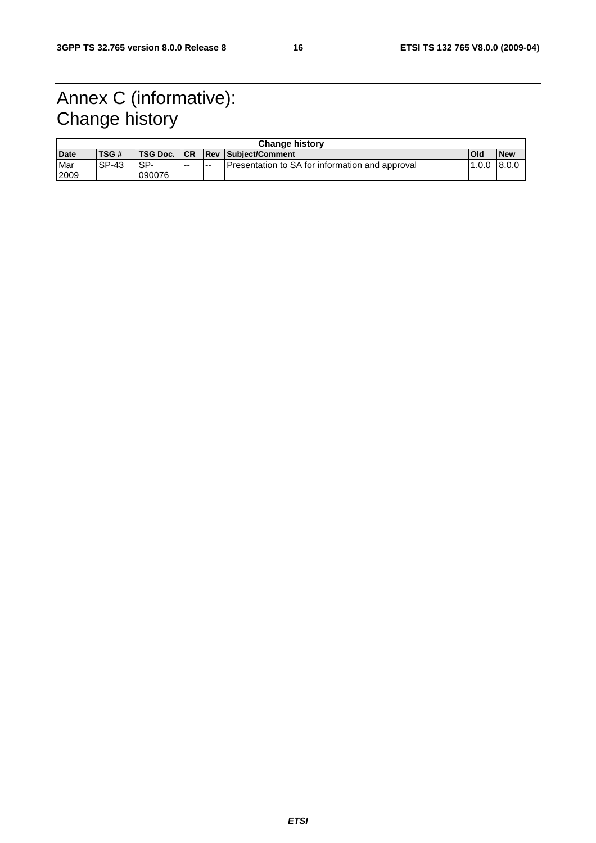# Annex C (informative): Change history

| <b>Change history</b> |              |                 |            |     |                                                 |        |            |  |
|-----------------------|--------------|-----------------|------------|-----|-------------------------------------------------|--------|------------|--|
| <b>Date</b>           | TSG#         | <b>TSG Doc.</b> | <b>ICR</b> |     | <b>Rev Subject/Comment</b>                      | Old    | <b>New</b> |  |
| Mar                   | <b>SP-43</b> | ISP-            | $-$        | $-$ | Presentation to SA for information and approval | 11.0.0 | 8.0.0      |  |
| 2009                  |              | 090076          |            |     |                                                 |        |            |  |